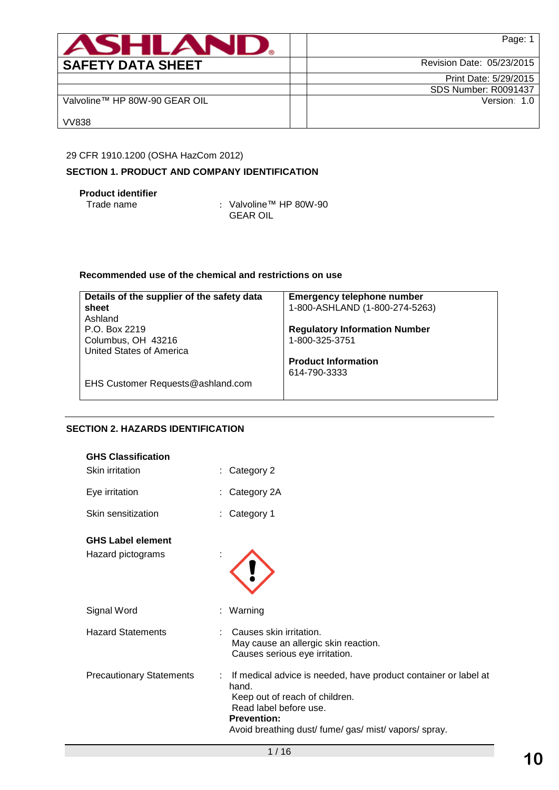| <b>ASHLAN</b>                 | Page: 1                   |
|-------------------------------|---------------------------|
| <b>SAFETY DATA SHEET</b>      | Revision Date: 05/23/2015 |
|                               | Print Date: 5/29/2015     |
|                               | SDS Number: R0091437      |
| Valvoline™ HP 80W-90 GEAR OIL | Version: 1.0              |
| <b>VV838</b>                  |                           |

## 29 CFR 1910.1200 (OSHA HazCom 2012)

# **SECTION 1. PRODUCT AND COMPANY IDENTIFICATION**

**Product identifier**

: Valvoline™ HP 80W-90 GEAR OIL

# **Recommended use of the chemical and restrictions on use**

| Details of the supplier of the safety data | <b>Emergency telephone number</b>    |
|--------------------------------------------|--------------------------------------|
| sheet                                      | 1-800-ASHLAND (1-800-274-5263)       |
| Ashland                                    |                                      |
| P.O. Box 2219                              | <b>Regulatory Information Number</b> |
| Columbus, OH 43216                         | 1-800-325-3751                       |
| United States of America                   |                                      |
|                                            | <b>Product Information</b>           |
|                                            | 614-790-3333                         |
| EHS Customer Requests@ashland.com          |                                      |
|                                            |                                      |

# **SECTION 2. HAZARDS IDENTIFICATION**

| <b>GHS Classification</b><br><b>Skin irritation</b> | Category 2                                                                                                                                                                                                            |
|-----------------------------------------------------|-----------------------------------------------------------------------------------------------------------------------------------------------------------------------------------------------------------------------|
| Eye irritation                                      | Category 2A                                                                                                                                                                                                           |
| Skin sensitization                                  | Category 1                                                                                                                                                                                                            |
| <b>GHS Label element</b><br>Hazard pictograms       |                                                                                                                                                                                                                       |
| Signal Word                                         | Warning<br>t.                                                                                                                                                                                                         |
| <b>Hazard Statements</b>                            | Causes skin irritation.<br>May cause an allergic skin reaction.<br>Causes serious eye irritation.                                                                                                                     |
| <b>Precautionary Statements</b>                     | : If medical advice is needed, have product container or label at<br>hand.<br>Keep out of reach of children.<br>Read label before use.<br><b>Prevention:</b><br>Avoid breathing dust/ fume/ gas/ mist/ vapors/ spray. |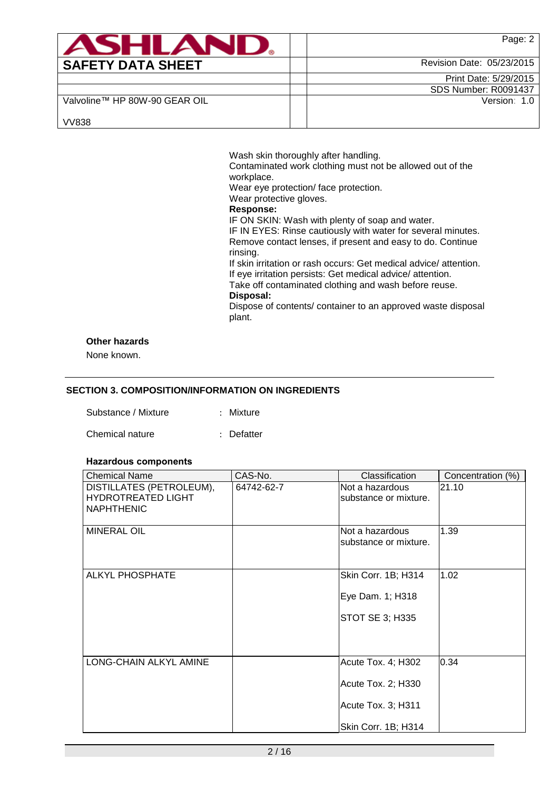| <b>ASHLAND.</b>               | Page: 2                     |
|-------------------------------|-----------------------------|
| <b>SAFETY DATA SHEET</b>      | Revision Date: 05/23/2015   |
|                               | Print Date: 5/29/2015       |
|                               | <b>SDS Number: R0091437</b> |
| Valvoline™ HP 80W-90 GEAR OIL | Version: 1.0                |
| <b>VV838</b>                  |                             |

Wash skin thoroughly after handling. Contaminated work clothing must not be allowed out of the workplace. Wear eye protection/ face protection. Wear protective gloves. **Response:**  IF ON SKIN: Wash with plenty of soap and water. IF IN EYES: Rinse cautiously with water for several minutes. Remove contact lenses, if present and easy to do. Continue rinsing. If skin irritation or rash occurs: Get medical advice/ attention. If eye irritation persists: Get medical advice/ attention. Take off contaminated clothing and wash before reuse. **Disposal:**  Dispose of contents/ container to an approved waste disposal plant.

## **Other hazards**

None known.

## **SECTION 3. COMPOSITION/INFORMATION ON INGREDIENTS**

| Substance / Mixture |  | Mixture |
|---------------------|--|---------|
|---------------------|--|---------|

#### Chemical nature : Defatter

#### **Hazardous components**

| <b>Chemical Name</b>                                                       | CAS-No.    | Classification                           | Concentration (%) |
|----------------------------------------------------------------------------|------------|------------------------------------------|-------------------|
| DISTILLATES (PETROLEUM),<br><b>HYDROTREATED LIGHT</b><br><b>NAPHTHENIC</b> | 64742-62-7 | Not a hazardous<br>substance or mixture. | 21.10             |
| <b>MINERAL OIL</b>                                                         |            | Not a hazardous<br>substance or mixture. | 1.39              |
| <b>ALKYL PHOSPHATE</b>                                                     |            | Skin Corr. 1B; H314                      | 1.02              |
|                                                                            |            | Eye Dam. 1; H318                         |                   |
|                                                                            |            | STOT SE 3; H335                          |                   |
|                                                                            |            |                                          |                   |
| LONG-CHAIN ALKYL AMINE                                                     |            | Acute Tox. 4; H302                       | 0.34              |
|                                                                            |            | Acute Tox. 2; H330                       |                   |
|                                                                            |            | Acute Tox. 3; H311                       |                   |
|                                                                            |            | Skin Corr. 1B; H314                      |                   |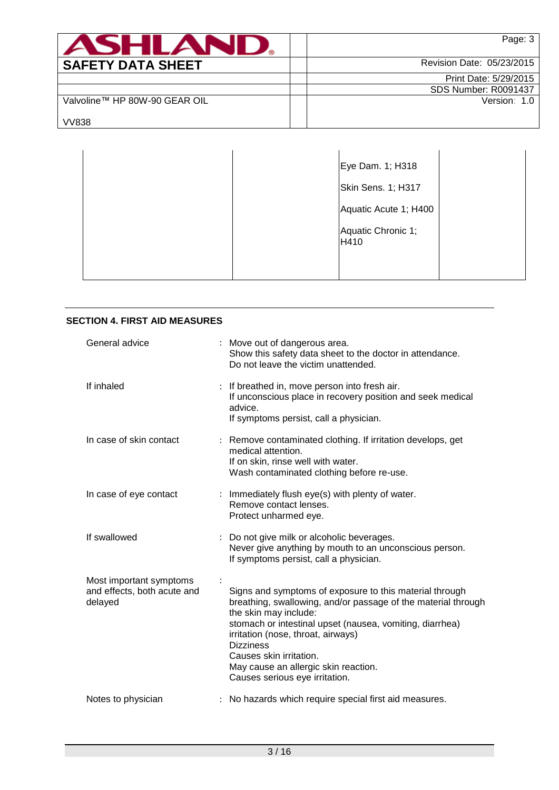| ASHLAND                       | Page: 3                     |
|-------------------------------|-----------------------------|
| <b>SAFETY DATA SHEET</b>      | Revision Date: 05/23/2015   |
|                               | Print Date: 5/29/2015       |
|                               | <b>SDS Number: R0091437</b> |
| Valvoline™ HP 80W-90 GEAR OIL | Version: 1.0                |
| <b>VV838</b>                  |                             |

|  | Eye Dam. 1; H318           |  |
|--|----------------------------|--|
|  | Skin Sens. 1; H317         |  |
|  | Aquatic Acute 1; H400      |  |
|  | Aquatic Chronic 1;<br>H410 |  |
|  |                            |  |

| <b>SECTION 4. FIRST AID MEASURES</b>                              |                                                                                                                                                                                                                                                                                                                                                                              |
|-------------------------------------------------------------------|------------------------------------------------------------------------------------------------------------------------------------------------------------------------------------------------------------------------------------------------------------------------------------------------------------------------------------------------------------------------------|
| General advice                                                    | : Move out of dangerous area.<br>Show this safety data sheet to the doctor in attendance.<br>Do not leave the victim unattended.                                                                                                                                                                                                                                             |
| If inhaled                                                        | : If breathed in, move person into fresh air.<br>If unconscious place in recovery position and seek medical<br>advice.<br>If symptoms persist, call a physician.                                                                                                                                                                                                             |
| In case of skin contact                                           | : Remove contaminated clothing. If irritation develops, get<br>medical attention.<br>If on skin, rinse well with water.<br>Wash contaminated clothing before re-use.                                                                                                                                                                                                         |
| In case of eye contact                                            | : Immediately flush eye(s) with plenty of water.<br>Remove contact lenses.<br>Protect unharmed eye.                                                                                                                                                                                                                                                                          |
| If swallowed                                                      | : Do not give milk or alcoholic beverages.<br>Never give anything by mouth to an unconscious person.<br>If symptoms persist, call a physician.                                                                                                                                                                                                                               |
| Most important symptoms<br>and effects, both acute and<br>delayed | Signs and symptoms of exposure to this material through<br>breathing, swallowing, and/or passage of the material through<br>the skin may include:<br>stomach or intestinal upset (nausea, vomiting, diarrhea)<br>irritation (nose, throat, airways)<br><b>Dizziness</b><br>Causes skin irritation.<br>May cause an allergic skin reaction.<br>Causes serious eye irritation. |
| Notes to physician                                                | : No hazards which require special first aid measures.                                                                                                                                                                                                                                                                                                                       |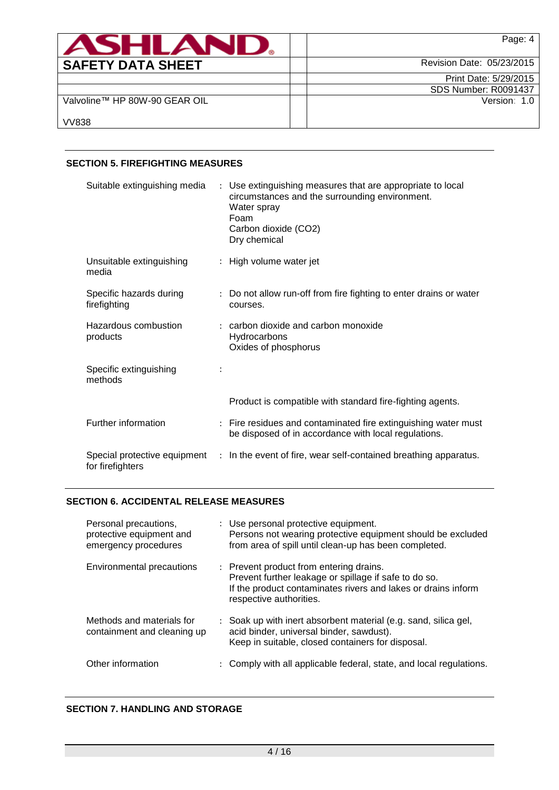| <b>ASHLAN</b>                 | Page: 4                     |
|-------------------------------|-----------------------------|
| <b>SAFETY DATA SHEET</b>      | Revision Date: 05/23/2015   |
|                               | Print Date: 5/29/2015       |
|                               | <b>SDS Number: R0091437</b> |
| Valvoline™ HP 80W-90 GEAR OIL | Version: 1.0                |
| <b>VV838</b>                  |                             |

## **SECTION 5. FIREFIGHTING MEASURES**

| Suitable extinguishing media                     | : Use extinguishing measures that are appropriate to local<br>circumstances and the surrounding environment.<br>Water spray<br>Foam<br>Carbon dioxide (CO2)<br>Dry chemical |
|--------------------------------------------------|-----------------------------------------------------------------------------------------------------------------------------------------------------------------------------|
| Unsuitable extinguishing<br>media                | : High volume water jet                                                                                                                                                     |
| Specific hazards during<br>firefighting          | : Do not allow run-off from fire fighting to enter drains or water<br>courses.                                                                                              |
| Hazardous combustion<br>products                 | $:$ carbon dioxide and carbon monoxide<br>Hydrocarbons<br>Oxides of phosphorus                                                                                              |
| Specific extinguishing<br>methods                |                                                                                                                                                                             |
|                                                  | Product is compatible with standard fire-fighting agents.                                                                                                                   |
| Further information                              | : Fire residues and contaminated fire extinguishing water must<br>be disposed of in accordance with local regulations.                                                      |
| Special protective equipment<br>for firefighters | : In the event of fire, wear self-contained breathing apparatus.                                                                                                            |

## **SECTION 6. ACCIDENTAL RELEASE MEASURES**

| Personal precautions,<br>protective equipment and<br>emergency procedures | : Use personal protective equipment.<br>Persons not wearing protective equipment should be excluded<br>from area of spill until clean-up has been completed.                                 |
|---------------------------------------------------------------------------|----------------------------------------------------------------------------------------------------------------------------------------------------------------------------------------------|
| Environmental precautions                                                 | : Prevent product from entering drains.<br>Prevent further leakage or spillage if safe to do so.<br>If the product contaminates rivers and lakes or drains inform<br>respective authorities. |
| Methods and materials for<br>containment and cleaning up                  | : Soak up with inert absorbent material (e.g. sand, silica gel,<br>acid binder, universal binder, sawdust).<br>Keep in suitable, closed containers for disposal.                             |
| Other information                                                         | : Comply with all applicable federal, state, and local regulations.                                                                                                                          |

# **SECTION 7. HANDLING AND STORAGE**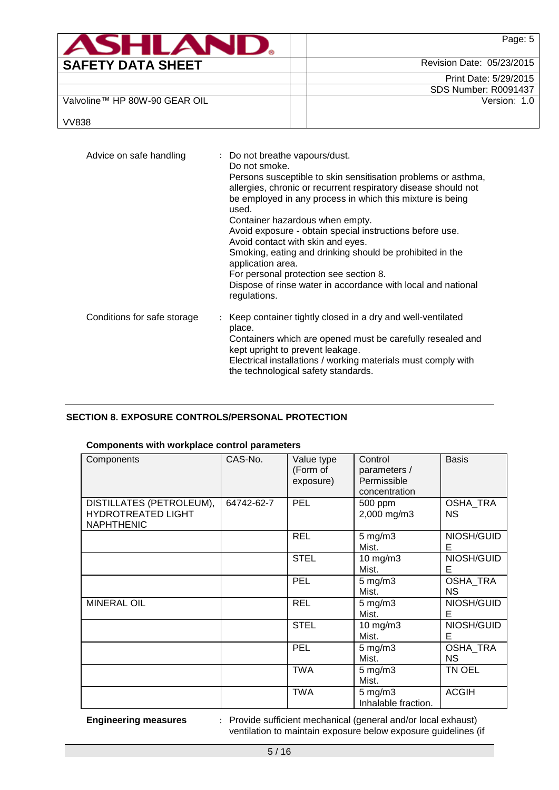| ASHLAND                       | Page: 5                     |
|-------------------------------|-----------------------------|
| <b>SAFETY DATA SHEET</b>      | Revision Date: 05/23/2015   |
|                               | Print Date: 5/29/2015       |
|                               | <b>SDS Number: R0091437</b> |
| Valvoline™ HP 80W-90 GEAR OIL | Version: 1.0                |
| <b>VV838</b>                  |                             |

| Advice on safe handling     | : Do not breathe vapours/dust.<br>Do not smoke.<br>Persons susceptible to skin sensitisation problems or asthma,<br>allergies, chronic or recurrent respiratory disease should not<br>be employed in any process in which this mixture is being<br>used.<br>Container hazardous when empty.<br>Avoid exposure - obtain special instructions before use.<br>Avoid contact with skin and eyes.<br>Smoking, eating and drinking should be prohibited in the<br>application area.<br>For personal protection see section 8.<br>Dispose of rinse water in accordance with local and national<br>regulations. |
|-----------------------------|---------------------------------------------------------------------------------------------------------------------------------------------------------------------------------------------------------------------------------------------------------------------------------------------------------------------------------------------------------------------------------------------------------------------------------------------------------------------------------------------------------------------------------------------------------------------------------------------------------|
| Conditions for safe storage | Keep container tightly closed in a dry and well-ventilated<br>place.<br>Containers which are opened must be carefully resealed and<br>kept upright to prevent leakage.<br>Electrical installations / working materials must comply with<br>the technological safety standards.                                                                                                                                                                                                                                                                                                                          |

# **SECTION 8. EXPOSURE CONTROLS/PERSONAL PROTECTION**

# **Components with workplace control parameters**

| Components                                                                 | CAS-No.    | Value type<br>(Form of<br>exposure) | Control<br>parameters /<br>Permissible<br>concentration | <b>Basis</b>                 |
|----------------------------------------------------------------------------|------------|-------------------------------------|---------------------------------------------------------|------------------------------|
| DISTILLATES (PETROLEUM),<br><b>HYDROTREATED LIGHT</b><br><b>NAPHTHENIC</b> | 64742-62-7 | PEL                                 | 500 ppm<br>2,000 mg/m3                                  | OSHA_TRA<br>NS.              |
|                                                                            |            | <b>REL</b>                          | 5 mg/m3<br>Mist.                                        | NIOSH/GUID<br>Е              |
|                                                                            |            | <b>STEL</b>                         | $10$ mg/m $3$<br>Mist.                                  | NIOSH/GUID<br>Е              |
|                                                                            |            | PEL<br>$5$ mg/m $3$<br>Mist.        |                                                         | OSHA_TRA<br><b>NS</b>        |
| <b>MINERAL OIL</b>                                                         |            | <b>REL</b>                          | $5$ mg/m $3$<br>Mist.                                   | NIOSH/GUID<br>Е              |
|                                                                            |            | <b>STEL</b>                         | $10$ mg/m $3$<br>Mist.                                  | NIOSH/GUID<br>Е              |
|                                                                            |            | PEL                                 | $5$ mg/m $3$<br>Mist.                                   | <b>OSHA TRA</b><br><b>NS</b> |
|                                                                            |            | <b>TWA</b>                          | $5 \text{ mg/m}$ 3<br>Mist.                             | TN OEL                       |
|                                                                            |            | <b>TWA</b>                          | $5 \text{ mg/m}$ 3<br>Inhalable fraction.               | <b>ACGIH</b>                 |

**Engineering measures** : Provide sufficient mechanical (general and/or local exhaust) ventilation to maintain exposure below exposure guidelines (if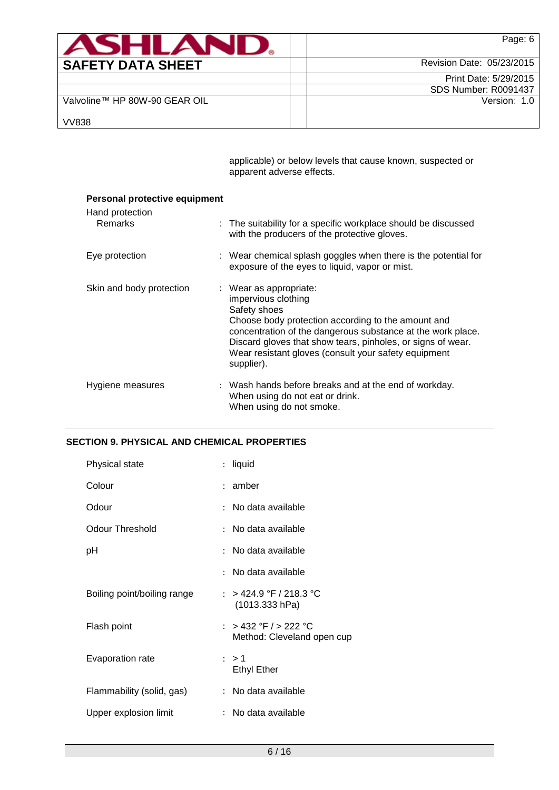| <b>ASHLAN</b>                 | Page: 6                     |
|-------------------------------|-----------------------------|
| <b>SAFETY DATA SHEET</b>      | Revision Date: 05/23/2015   |
|                               | Print Date: 5/29/2015       |
|                               | <b>SDS Number: R0091437</b> |
| Valvoline™ HP 80W-90 GEAR OIL | Version: 1.0                |
| <b>VV838</b>                  |                             |

applicable) or below levels that cause known, suspected or apparent adverse effects.

| Personal protective equipment     |                                                                                                                                                                                                                                                                                                                         |
|-----------------------------------|-------------------------------------------------------------------------------------------------------------------------------------------------------------------------------------------------------------------------------------------------------------------------------------------------------------------------|
| Hand protection<br><b>Remarks</b> | : The suitability for a specific workplace should be discussed<br>with the producers of the protective gloves.                                                                                                                                                                                                          |
| Eye protection                    | : Wear chemical splash goggles when there is the potential for<br>exposure of the eyes to liquid, vapor or mist.                                                                                                                                                                                                        |
| Skin and body protection          | : Wear as appropriate:<br>impervious clothing<br>Safety shoes<br>Choose body protection according to the amount and<br>concentration of the dangerous substance at the work place.<br>Discard gloves that show tears, pinholes, or signs of wear.<br>Wear resistant gloves (consult your safety equipment<br>supplier). |
| Hygiene measures                  | : Wash hands before breaks and at the end of workday.<br>When using do not eat or drink.<br>When using do not smoke.                                                                                                                                                                                                    |

# **SECTION 9. PHYSICAL AND CHEMICAL PROPERTIES**

| Physical state              | $\mathbf{L}$ | liquid                                              |
|-----------------------------|--------------|-----------------------------------------------------|
| Colour                      |              | : amber                                             |
| Odour                       |              | : No data available                                 |
| Odour Threshold             |              | $:$ No data available                               |
| рH                          |              | : No data available                                 |
|                             |              | $:$ No data available                               |
| Boiling point/boiling range |              | : > 424.9 °F / 218.3 °C<br>(1013.333 hPa)           |
| Flash point                 |              | : > 432 °F / > 222 °C<br>Method: Cleveland open cup |
| Evaporation rate            |              | : > 1<br><b>Ethyl Ether</b>                         |
| Flammability (solid, gas)   |              | : No data available                                 |
| Upper explosion limit       |              | No data available                                   |
|                             |              |                                                     |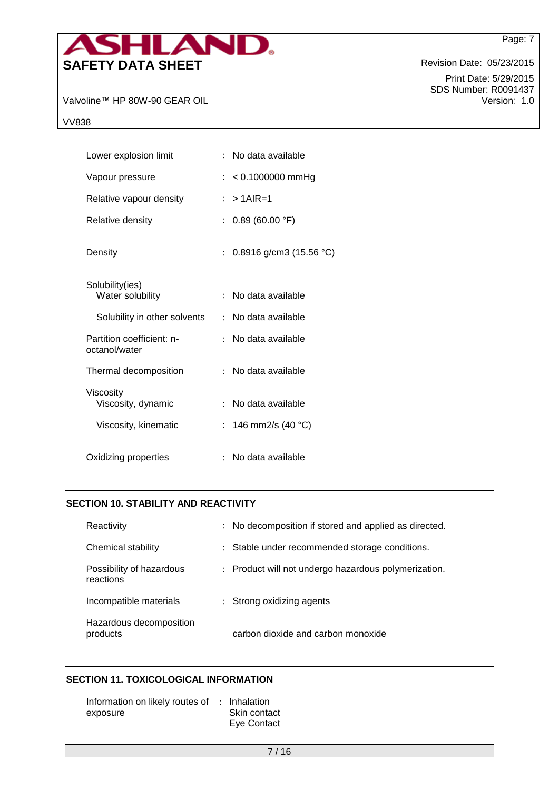| <b>ASHLAND.</b>               | Page: 7                     |
|-------------------------------|-----------------------------|
| <b>SAFETY DATA SHEET</b>      | Revision Date: 05/23/2015   |
|                               | Print Date: 5/29/2015       |
|                               | <b>SDS Number: R0091437</b> |
| Valvoline™ HP 80W-90 GEAR OIL | Version: 1.0                |
| <b>VV838</b>                  |                             |

| Lower explosion limit                      | : No data available                             |
|--------------------------------------------|-------------------------------------------------|
| Vapour pressure                            | $: 0.1000000$ mmHg                              |
| Relative vapour density                    | $: >1$ AIR=1                                    |
| Relative density                           | : $0.89(60.00 °F)$                              |
| Density                                    | 0.8916 g/cm3 (15.56 °C)<br>$\ddot{\phantom{0}}$ |
| Solubility(ies)<br>Water solubility        | No data available<br>$\ddot{\phantom{0}}$       |
| Solubility in other solvents               | : No data available                             |
| Partition coefficient: n-<br>octanol/water | : No data available                             |
| Thermal decomposition                      | : No data available                             |
| Viscosity<br>Viscosity, dynamic            | No data available<br>÷.                         |
| Viscosity, kinematic                       | : 146 mm2/s (40 °C)                             |
| Oxidizing properties                       | : No data available                             |

# **SECTION 10. STABILITY AND REACTIVITY**

| Reactivity                            | No decomposition if stored and applied as directed.<br>$\mathbb{R}^{\mathbb{Z}}$ |
|---------------------------------------|----------------------------------------------------------------------------------|
| Chemical stability                    | Stable under recommended storage conditions.<br>$\mathbb{R}^{\mathbb{Z}}$        |
| Possibility of hazardous<br>reactions | : Product will not undergo hazardous polymerization.                             |
| Incompatible materials                | Strong oxidizing agents                                                          |
| Hazardous decomposition<br>products   | carbon dioxide and carbon monoxide                                               |

## **SECTION 11. TOXICOLOGICAL INFORMATION**

| Information on likely routes of : Inhalation |              |
|----------------------------------------------|--------------|
| exposure                                     | Skin contact |
|                                              | Eye Contact  |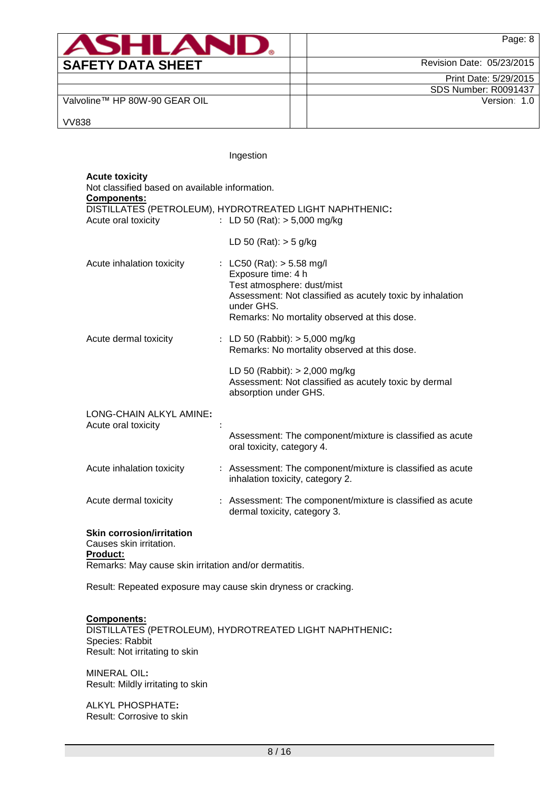| <b>ASHLAR</b>                 | Page: 8                     |
|-------------------------------|-----------------------------|
| <b>SAFETY DATA SHEET</b>      | Revision Date: 05/23/2015   |
|                               | Print Date: 5/29/2015       |
|                               | <b>SDS Number: R0091437</b> |
| Valvoline™ HP 80W-90 GEAR OIL | Version: 1.0                |
| <b>VV838</b>                  |                             |

Ingestion

# **Acute toxicity**

Not classified based on available information.

**Components:**

| <u>sompononto:</u><br>Acute oral toxicity                               | DISTILLATES (PETROLEUM), HYDROTREATED LIGHT NAPHTHENIC:<br>: LD 50 (Rat): $> 5,000$ mg/kg                                                                                                                  |
|-------------------------------------------------------------------------|------------------------------------------------------------------------------------------------------------------------------------------------------------------------------------------------------------|
|                                                                         | LD 50 (Rat): $>$ 5 g/kg                                                                                                                                                                                    |
| Acute inhalation toxicity                                               | : LC50 (Rat): $> 5.58$ mg/l<br>Exposure time: 4 h<br>Test atmosphere: dust/mist<br>Assessment: Not classified as acutely toxic by inhalation<br>under GHS.<br>Remarks: No mortality observed at this dose. |
| Acute dermal toxicity                                                   | : LD 50 (Rabbit): $> 5,000$ mg/kg<br>Remarks: No mortality observed at this dose.                                                                                                                          |
|                                                                         | LD 50 (Rabbit): $> 2,000$ mg/kg<br>Assessment: Not classified as acutely toxic by dermal<br>absorption under GHS.                                                                                          |
| LONG-CHAIN ALKYL AMINE:<br>Acute oral toxicity                          |                                                                                                                                                                                                            |
|                                                                         | Assessment: The component/mixture is classified as acute<br>oral toxicity, category 4.                                                                                                                     |
| Acute inhalation toxicity                                               | : Assessment: The component/mixture is classified as acute<br>inhalation toxicity, category 2.                                                                                                             |
| Acute dermal toxicity                                                   | : Assessment: The component/mixture is classified as acute<br>dermal toxicity, category 3.                                                                                                                 |
| <b>Skin corrosion/irritation</b><br>Causes skin irritation.<br>Product: |                                                                                                                                                                                                            |
| Remarks: May cause skin irritation and/or dermatitis.                   |                                                                                                                                                                                                            |

Result: Repeated exposure may cause skin dryness or cracking.

# **Components:**

DISTILLATES (PETROLEUM), HYDROTREATED LIGHT NAPHTHENIC**:** Species: Rabbit Result: Not irritating to skin

MINERAL OIL**:** Result: Mildly irritating to skin

ALKYL PHOSPHATE**:** Result: Corrosive to skin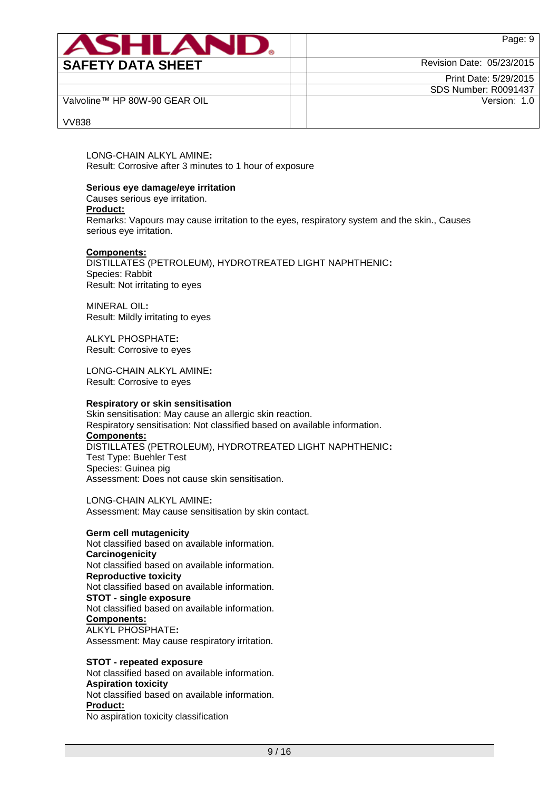| <b>ASHLAN</b>                 | Page: 9                     |
|-------------------------------|-----------------------------|
| <b>SAFETY DATA SHEET</b>      | Revision Date: 05/23/2015   |
|                               | Print Date: 5/29/2015       |
|                               | <b>SDS Number: R0091437</b> |
| Valvoline™ HP 80W-90 GEAR OIL | Version: 1.0                |
| <b>VV838</b>                  |                             |

LONG-CHAIN ALKYL AMINE**:** Result: Corrosive after 3 minutes to 1 hour of exposure

## **Serious eye damage/eye irritation**

Causes serious eye irritation.

#### **Product:**

Remarks: Vapours may cause irritation to the eyes, respiratory system and the skin., Causes serious eye irritation.

#### **Components:**

DISTILLATES (PETROLEUM), HYDROTREATED LIGHT NAPHTHENIC**:** Species: Rabbit Result: Not irritating to eyes

MINERAL OIL**:** Result: Mildly irritating to eyes

ALKYL PHOSPHATE**:** Result: Corrosive to eyes

LONG-CHAIN ALKYL AMINE**:** Result: Corrosive to eyes

#### **Respiratory or skin sensitisation**

Skin sensitisation: May cause an allergic skin reaction. Respiratory sensitisation: Not classified based on available information. **Components:** DISTILLATES (PETROLEUM), HYDROTREATED LIGHT NAPHTHENIC**:** Test Type: Buehler Test Species: Guinea pig Assessment: Does not cause skin sensitisation.

LONG-CHAIN ALKYL AMINE**:** Assessment: May cause sensitisation by skin contact.

#### **Germ cell mutagenicity**

Not classified based on available information. **Carcinogenicity** Not classified based on available information. **Reproductive toxicity** Not classified based on available information. **STOT - single exposure** Not classified based on available information. **Components:** ALKYL PHOSPHATE**:** Assessment: May cause respiratory irritation.

**STOT - repeated exposure** Not classified based on available information. **Aspiration toxicity** Not classified based on available information. **Product:** No aspiration toxicity classification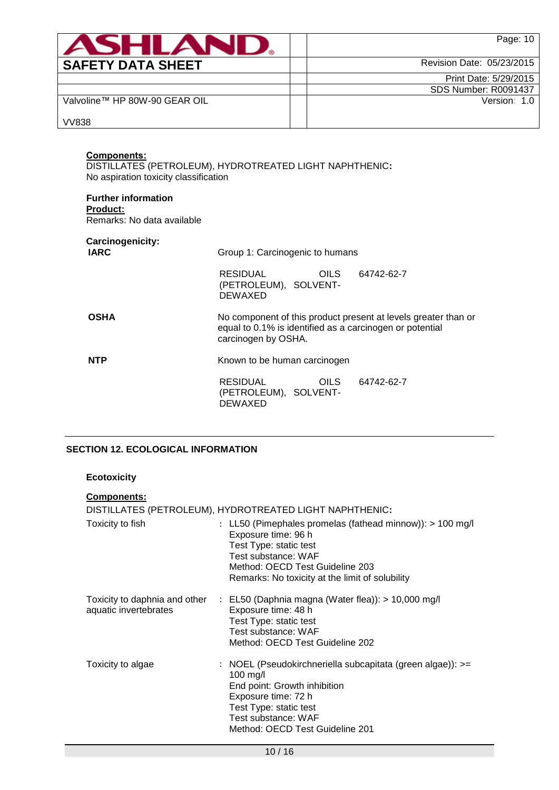| ASHLAND                                                                                                                                                                 | Page: 10                    |
|-------------------------------------------------------------------------------------------------------------------------------------------------------------------------|-----------------------------|
| <b>SAFETY DATA SHEET</b>                                                                                                                                                | Revision Date: 05/23/2015   |
|                                                                                                                                                                         | Print Date: 5/29/2015       |
|                                                                                                                                                                         | <b>SDS Number: R0091437</b> |
| Valvoline™ HP 80W-90 GEAR OIL                                                                                                                                           | Version: 1.0                |
| <b>VV838</b>                                                                                                                                                            |                             |
| <b>Components:</b><br>DISTILLATES (PETROLEUM), HYDROTREATED LIGHT NAPHTHENIC:<br>No aspiration toxicity classification<br><b>Further information</b><br><b>Product:</b> |                             |

Remarks: No data available

# **Carcinogenicity:**

| <del>.</del><br><b>IARC</b> | Group 1: Carcinogenic to humans                                                                                                                   |            |  |  |
|-----------------------------|---------------------------------------------------------------------------------------------------------------------------------------------------|------------|--|--|
|                             | RESIDUAL<br><b>OILS</b><br>(PETROLEUM), SOLVENT-<br><b>DEWAXED</b>                                                                                | 64742-62-7 |  |  |
| <b>OSHA</b>                 | No component of this product present at levels greater than or<br>equal to 0.1% is identified as a carcinogen or potential<br>carcinogen by OSHA. |            |  |  |
| <b>NTP</b>                  | Known to be human carcinogen                                                                                                                      |            |  |  |
|                             | RESIDUAL<br><b>OILS</b><br>(PETROLEUM), SOLVENT-<br>DEWAXED                                                                                       | 64742-62-7 |  |  |

# **SECTION 12. ECOLOGICAL INFORMATION**

## **Ecotoxicity**

## **Components:** DISTILLATES (PETROLEUM), HYDROTREATED LIGHT NAPHTHENIC**:** Toxicity to fish : LL50 (Pimephales promelas (fathead minnow)): > 100 mg/l Exposure time: 96 h Test Type: static test Test substance: WAF Method: OECD Test Guideline 203 Remarks: No toxicity at the limit of solubility Toxicity to daphnia and other : EL50 (Daphnia magna (Water flea)): > 10,000 mg/l aquatic invertebrates Exposure time: 48 h Test Type: static test Test substance: WAF Method: OECD Test Guideline 202 Toxicity to algae : NOEL (Pseudokirchneriella subcapitata (green algae)): >= 100 mg/l End point: Growth inhibition Exposure time: 72 h Test Type: static test Test substance: WAF Method: OECD Test Guideline 201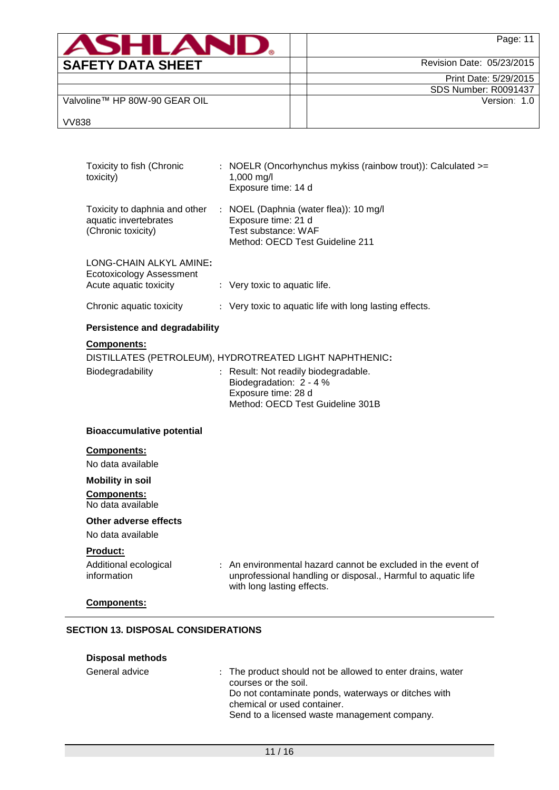| ASHI AR                       | Page: 11                    |
|-------------------------------|-----------------------------|
| <b>SAFETY DATA SHEET</b>      | Revision Date: 05/23/2015   |
|                               | Print Date: 5/29/2015       |
|                               | <b>SDS Number: R0091437</b> |
| Valvoline™ HP 80W-90 GEAR OIL | Version: 1.0                |
| <b>VV838</b>                  |                             |

| Acute aquatic toxicity<br>Chronic aquatic toxicity | : Very toxic to aquatic life.<br>: Very toxic to aquatic life with long lasting effects.                                                                    |
|----------------------------------------------------|-------------------------------------------------------------------------------------------------------------------------------------------------------------|
| <b>Persistence and degradability</b>               |                                                                                                                                                             |
|                                                    |                                                                                                                                                             |
| Components:                                        | DISTILLATES (PETROLEUM), HYDROTREATED LIGHT NAPHTHENIC:                                                                                                     |
|                                                    |                                                                                                                                                             |
| Biodegradability                                   | : Result: Not readily biodegradable.<br>Biodegradation: 2 - 4 %<br>Exposure time: 28 d<br>Method: OECD Test Guideline 301B                                  |
| <b>Bioaccumulative potential</b>                   |                                                                                                                                                             |
| Components:                                        |                                                                                                                                                             |
| No data available                                  |                                                                                                                                                             |
| <b>Mobility in soil</b>                            |                                                                                                                                                             |
| <b>Components:</b><br>No data available            |                                                                                                                                                             |
| Other adverse effects                              |                                                                                                                                                             |
| No data available                                  |                                                                                                                                                             |
| <b>Product:</b>                                    |                                                                                                                                                             |
| Additional ecological<br>information               | : An environmental hazard cannot be excluded in the event of<br>unprofessional handling or disposal., Harmful to aquatic life<br>with long lasting effects. |
|                                                    |                                                                                                                                                             |

| <b>Disposal methods</b> |                                                                                                                                                                                                                          |
|-------------------------|--------------------------------------------------------------------------------------------------------------------------------------------------------------------------------------------------------------------------|
| General advice          | : The product should not be allowed to enter drains, water<br>courses or the soil.<br>Do not contaminate ponds, waterways or ditches with<br>chemical or used container.<br>Send to a licensed waste management company. |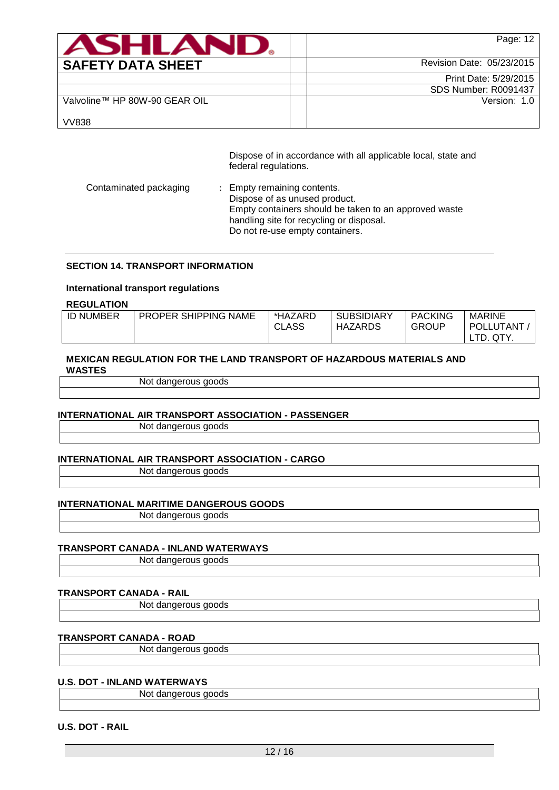| ASHLAN                        | Page: 12                    |
|-------------------------------|-----------------------------|
| <b>SAFETY DATA SHEET</b>      | Revision Date: 05/23/2015   |
|                               | Print Date: 5/29/2015       |
|                               | <b>SDS Number: R0091437</b> |
| Valvoline™ HP 80W-90 GEAR OIL | Version: 1.0                |
| <b>VV838</b>                  |                             |

Dispose of in accordance with all applicable local, state and federal regulations.

| Contaminated packaging<br>: Empty remaining contents.<br>Dispose of as unused product.<br>Empty containers should be taken to an approved waste<br>handling site for recycling or disposal.<br>Do not re-use empty containers. |  |
|--------------------------------------------------------------------------------------------------------------------------------------------------------------------------------------------------------------------------------|--|
|--------------------------------------------------------------------------------------------------------------------------------------------------------------------------------------------------------------------------------|--|

#### **SECTION 14. TRANSPORT INFORMATION**

#### **International transport regulations**

**REGULATION**

| <b>ID NUMBER</b> | <b>PROPER SHIPPING NAME</b> | *HAZARD<br><b>CLASS</b> | <b>SUBSIDIARY</b><br>HAZARDS | <b>PACKING</b><br><b>GROUP</b> | <b>MARINE</b><br>POLLUTANT |
|------------------|-----------------------------|-------------------------|------------------------------|--------------------------------|----------------------------|
|                  |                             |                         |                              |                                | LTD.<br>QTY.               |

## **MEXICAN REGULATION FOR THE LAND TRANSPORT OF HAZARDOUS MATERIALS AND WASTES**

Not dangerous goods

## **INTERNATIONAL AIR TRANSPORT ASSOCIATION - PASSENGER**

Not dangerous goods

## **INTERNATIONAL AIR TRANSPORT ASSOCIATION - CARGO**

Not dangerous goods

#### **INTERNATIONAL MARITIME DANGEROUS GOODS**

Not dangerous goods

#### **TRANSPORT CANADA - INLAND WATERWAYS**

Not dangerous goods

# **TRANSPORT CANADA - RAIL**

Not dangerous goods

# **TRANSPORT CANADA - ROAD**

Not dangerous goods

# **U.S. DOT - INLAND WATERWAYS**

Not dangerous goods

# **U.S. DOT - RAIL**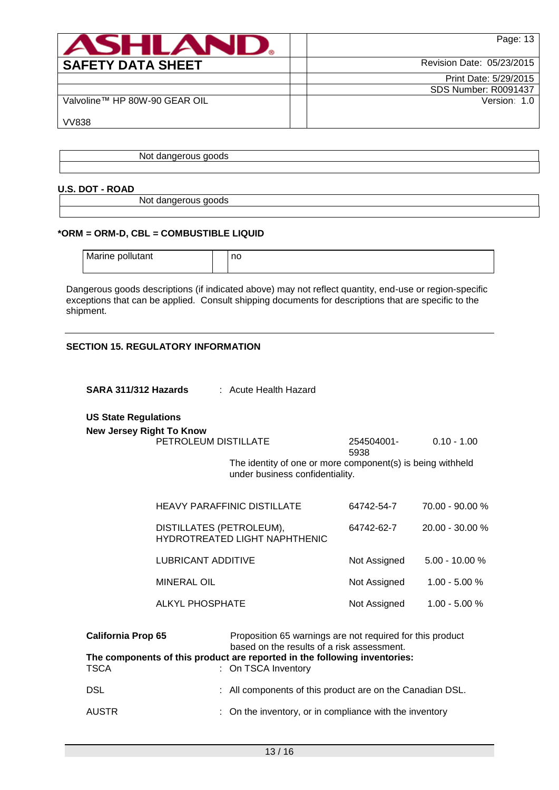| <b>ASHLAN</b>                 | Page: 13                    |
|-------------------------------|-----------------------------|
| <b>SAFETY DATA SHEET</b>      | Revision Date: 05/23/2015   |
|                               | Print Date: 5/29/2015       |
|                               | <b>SDS Number: R0091437</b> |
| Valvoline™ HP 80W-90 GEAR OIL | Version: 1.0                |
| <b>VV838</b>                  |                             |

Not dangerous goods

## **U.S. DOT - ROAD**

Not dangerous goods

## **\*ORM = ORM-D, CBL = COMBUSTIBLE LIQUID**

| Marine pollutant | no |
|------------------|----|
|                  |    |

Dangerous goods descriptions (if indicated above) may not reflect quantity, end-use or region-specific exceptions that can be applied. Consult shipping documents for descriptions that are specific to the shipment.

## **SECTION 15. REGULATORY INFORMATION**

| SARA 311/312 Hazards                                           |                          | : Acute Health Hazard                                                                                                                                                                |                    |                 |  |
|----------------------------------------------------------------|--------------------------|--------------------------------------------------------------------------------------------------------------------------------------------------------------------------------------|--------------------|-----------------|--|
| <b>US State Regulations</b><br><b>New Jersey Right To Know</b> |                          |                                                                                                                                                                                      |                    |                 |  |
|                                                                | PETROLEUM DISTILLATE     |                                                                                                                                                                                      | 254504001-<br>5938 | $0.10 - 1.00$   |  |
|                                                                |                          | The identity of one or more component(s) is being withheld<br>under business confidentiality.                                                                                        |                    |                 |  |
|                                                                |                          | <b>HEAVY PARAFFINIC DISTILLATE</b>                                                                                                                                                   | 64742-54-7         | 70.00 - 90.00 % |  |
|                                                                | DISTILLATES (PETROLEUM), | HYDROTREATED LIGHT NAPHTHENIC                                                                                                                                                        | 64742-62-7         | 20.00 - 30.00 % |  |
|                                                                | LUBRICANT ADDITIVE       |                                                                                                                                                                                      | Not Assigned       | 5.00 - 10.00 %  |  |
|                                                                | <b>MINERAL OIL</b>       |                                                                                                                                                                                      | Not Assigned       | $1.00 - 5.00 %$ |  |
|                                                                | <b>ALKYL PHOSPHATE</b>   |                                                                                                                                                                                      | Not Assigned       | $1.00 - 5.00 %$ |  |
| <b>California Prop 65</b>                                      |                          | Proposition 65 warnings are not required for this product<br>based on the results of a risk assessment.<br>The components of this product are reported in the following inventories: |                    |                 |  |
| <b>TSCA</b>                                                    |                          | : On TSCA Inventory                                                                                                                                                                  |                    |                 |  |
| <b>DSL</b>                                                     |                          | : All components of this product are on the Canadian DSL.                                                                                                                            |                    |                 |  |
| <b>AUSTR</b>                                                   |                          | On the inventory, or in compliance with the inventory                                                                                                                                |                    |                 |  |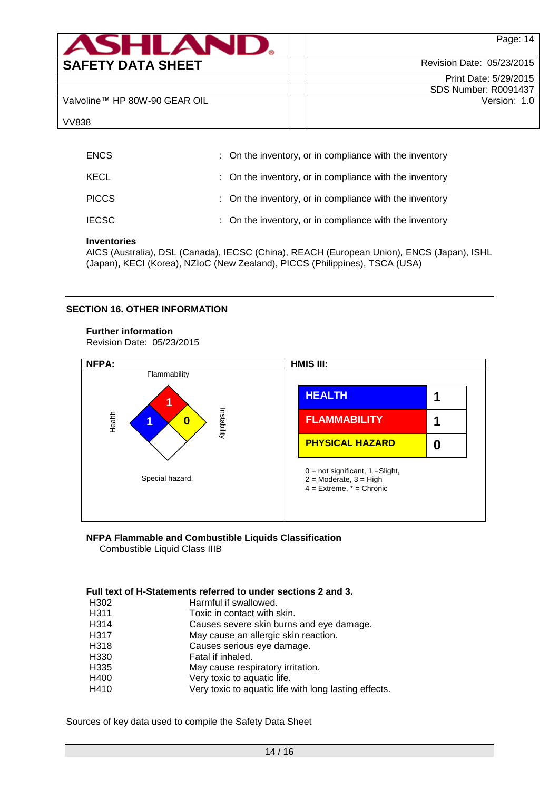| <b>ASHLAND</b>                | Page: 14                    |
|-------------------------------|-----------------------------|
| <b>SAFETY DATA SHEET</b>      | Revision Date: 05/23/2015   |
|                               | Print Date: 5/29/2015       |
|                               | <b>SDS Number: R0091437</b> |
| Valvoline™ HP 80W-90 GEAR OIL | Version: 1.0                |
| <b>VV838</b>                  |                             |

| <b>ENCS</b>  | : On the inventory, or in compliance with the inventory |
|--------------|---------------------------------------------------------|
| KECL         | : On the inventory, or in compliance with the inventory |
| <b>PICCS</b> | : On the inventory, or in compliance with the inventory |
| <b>IECSC</b> | : On the inventory, or in compliance with the inventory |

# **Inventories**

AICS (Australia), DSL (Canada), IECSC (China), REACH (European Union), ENCS (Japan), ISHL (Japan), KECI (Korea), NZIoC (New Zealand), PICCS (Philippines), TSCA (USA)

## **SECTION 16. OTHER INFORMATION**

## **Further information**

Revision Date: 05/23/2015



#### **NFPA Flammable and Combustible Liquids Classification** Combustible Liquid Class IIIB

## **Full text of H-Statements referred to under sections 2 and 3.**

| H <sub>302</sub>  | Harmful if swallowed.                                 |
|-------------------|-------------------------------------------------------|
| H <sub>3</sub> 11 | Toxic in contact with skin.                           |
| H314              | Causes severe skin burns and eye damage.              |
| H317              | May cause an allergic skin reaction.                  |
| H318              | Causes serious eye damage.                            |
| H <sub>330</sub>  | Fatal if inhaled.                                     |
| H335              | May cause respiratory irritation.                     |
| H400              | Very toxic to aquatic life.                           |
| H410              | Very toxic to aquatic life with long lasting effects. |
|                   |                                                       |

Sources of key data used to compile the Safety Data Sheet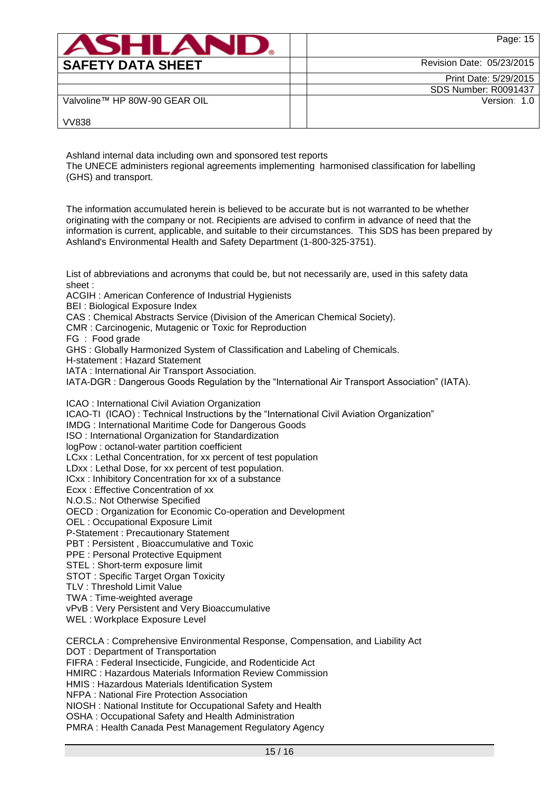| <b>ASHLAND.</b>               | Page: 15                    |
|-------------------------------|-----------------------------|
| <b>SAFETY DATA SHEET</b>      | Revision Date: 05/23/2015   |
|                               | Print Date: 5/29/2015       |
|                               | <b>SDS Number: R0091437</b> |
| Valvoline™ HP 80W-90 GEAR OIL | Version: 1.0                |
| <b>VV838</b>                  |                             |

Ashland internal data including own and sponsored test reports

The UNECE administers regional agreements implementing harmonised classification for labelling (GHS) and transport.

The information accumulated herein is believed to be accurate but is not warranted to be whether originating with the company or not. Recipients are advised to confirm in advance of need that the information is current, applicable, and suitable to their circumstances. This SDS has been prepared by Ashland's Environmental Health and Safety Department (1-800-325-3751).

List of abbreviations and acronyms that could be, but not necessarily are, used in this safety data sheet :

ACGIH : American Conference of Industrial Hygienists

BEI : Biological Exposure Index

CAS : Chemical Abstracts Service (Division of the American Chemical Society).

CMR : Carcinogenic, Mutagenic or Toxic for Reproduction

FG : Food grade

GHS : Globally Harmonized System of Classification and Labeling of Chemicals.

H-statement : Hazard Statement

IATA : International Air Transport Association.

IATA-DGR : Dangerous Goods Regulation by the "International Air Transport Association" (IATA).

ICAO : International Civil Aviation Organization

ICAO-TI (ICAO) : Technical Instructions by the "International Civil Aviation Organization"

IMDG : International Maritime Code for Dangerous Goods

ISO : International Organization for Standardization

logPow : octanol-water partition coefficient

LCxx : Lethal Concentration, for xx percent of test population

LDxx : Lethal Dose, for xx percent of test population.

ICxx : Inhibitory Concentration for xx of a substance

Ecxx : Effective Concentration of xx

N.O.S.: Not Otherwise Specified

OECD : Organization for Economic Co-operation and Development

OEL : Occupational Exposure Limit

P-Statement : Precautionary Statement

PBT : Persistent , Bioaccumulative and Toxic

PPE : Personal Protective Equipment

STEL : Short-term exposure limit

STOT : Specific Target Organ Toxicity

TLV : Threshold Limit Value

TWA : Time-weighted average

vPvB : Very Persistent and Very Bioaccumulative

WEL : Workplace Exposure Level

CERCLA : Comprehensive Environmental Response, Compensation, and Liability Act

DOT : Department of Transportation

FIFRA : Federal Insecticide, Fungicide, and Rodenticide Act

HMIRC : Hazardous Materials Information Review Commission

HMIS : Hazardous Materials Identification System

NFPA : National Fire Protection Association

NIOSH : National Institute for Occupational Safety and Health

OSHA : Occupational Safety and Health Administration

PMRA : Health Canada Pest Management Regulatory Agency